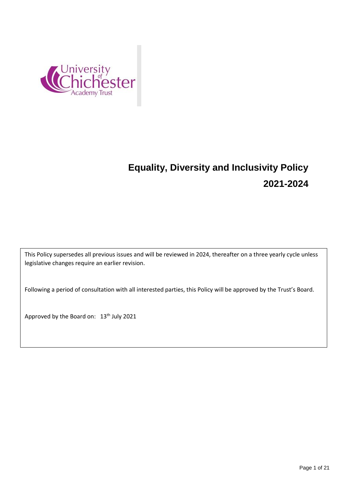

# **Equality, Diversity and Inclusivity Policy 2021-2024**

This Policy supersedes all previous issues and will be reviewed in 2024, thereafter on a three yearly cycle unless legislative changes require an earlier revision.

Following a period of consultation with all interested parties, this Policy will be approved by the Trust's Board.

Approved by the Board on: 13<sup>th</sup> July 2021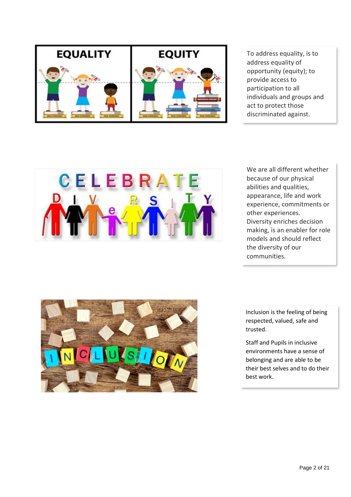

To address equality, is to address equality of opportunity (equity); to provide access to participation to all individuals and groups and act to protect those discriminated against.



We are all different whether because of our physical abilities and qualities, appearance, life and work experience, commitments or other experiences. Diversity enriches decision making, is an enabler for role models and should reflect the diversity of our communities.



Inclusion is the feeling of being respected, valued, safe and trusted.

Staff and Pupils in inclusive environments have a sense of belonging and are able to be their best selves and to do their best work.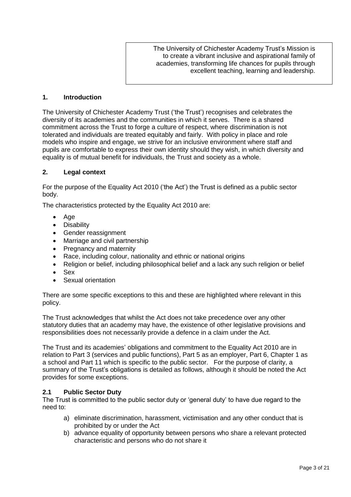The University of Chichester Academy Trust's Mission is to create a vibrant inclusive and aspirational family of academies, transforming life chances for pupils through excellent teaching, learning and leadership.

### **1. Introduction**

The University of Chichester Academy Trust ('the Trust') recognises and celebrates the diversity of its academies and the communities in which it serves. There is a shared commitment across the Trust to forge a culture of respect, where discrimination is not tolerated and individuals are treated equitably and fairly. With policy in place and role models who inspire and engage, we strive for an inclusive environment where staff and pupils are comfortable to express their own identity should they wish, in which diversity and equality is of mutual benefit for individuals, the Trust and society as a whole.

#### **2. Legal context**

For the purpose of the Equality Act 2010 ('the Act') the Trust is defined as a public sector body.

The characteristics protected by the Equality Act 2010 are:

- $A$ ge
- Disability
- Gender reassignment
- Marriage and civil partnership
- Pregnancy and maternity
- Race, including colour, nationality and ethnic or national origins
- Religion or belief, including philosophical belief and a lack any such religion or belief
- Sex
- Sexual orientation

There are some specific exceptions to this and these are highlighted where relevant in this policy.

The Trust acknowledges that whilst the Act does not take precedence over any other statutory duties that an academy may have, the existence of other legislative provisions and responsibilities does not necessarily provide a defence in a claim under the Act.

The Trust and its academies' obligations and commitment to the Equality Act 2010 are in relation to Part 3 (services and public functions), Part 5 as an employer, Part 6, Chapter 1 as a school and Part 11 which is specific to the public sector. For the purpose of clarity, a summary of the Trust's obligations is detailed as follows, although it should be noted the Act provides for some exceptions.

#### **2.1 Public Sector Duty**

The Trust is committed to the public sector duty or 'general duty' to have due regard to the need to:

- a) eliminate discrimination, harassment, victimisation and any other conduct that is prohibited by or under the Act
- b) advance equality of opportunity between persons who share a relevant protected characteristic and persons who do not share it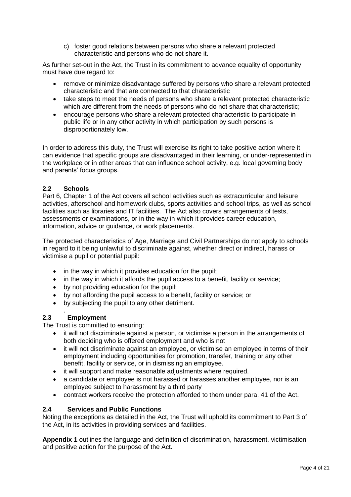c) foster good relations between persons who share a relevant protected characteristic and persons who do not share it.

As further set-out in the Act, the Trust in its commitment to advance equality of opportunity must have due regard to:

- remove or minimize disadvantage suffered by persons who share a relevant protected characteristic and that are connected to that characteristic
- take steps to meet the needs of persons who share a relevant protected characteristic which are different from the needs of persons who do not share that characteristic;
- encourage persons who share a relevant protected characteristic to participate in public life or in any other activity in which participation by such persons is disproportionately low.

In order to address this duty, the Trust will exercise its right to take positive action where it can evidence that specific groups are disadvantaged in their learning, or under-represented in the workplace or in other areas that can influence school activity, e.g. local governing body and parents' focus groups.

# **2.2 Schools**

Part 6, Chapter 1 of the Act covers all school activities such as extracurricular and leisure activities, afterschool and homework clubs, sports activities and school trips, as well as school facilities such as libraries and IT facilities. The Act also covers arrangements of tests, assessments or examinations, or in the way in which it provides career education, information, advice or guidance, or work placements.

The protected characteristics of Age, Marriage and Civil Partnerships do not apply to schools in regard to it being unlawful to discriminate against, whether direct or indirect, harass or victimise a pupil or potential pupil:

- in the way in which it provides education for the pupil;
- in the way in which it affords the pupil access to a benefit, facility or service;
- by not providing education for the pupil;
- by not affording the pupil access to a benefit, facility or service; or
- by subjecting the pupil to any other detriment.

#### . **2.3 Employment**

The Trust is committed to ensuring:

- it will not discriminate against a person, or victimise a person in the arrangements of both deciding who is offered employment and who is not
- it will not discriminate against an employee, or victimise an employee in terms of their employment including opportunities for promotion, transfer, training or any other benefit, facility or service, or in dismissing an employee.
- it will support and make reasonable adjustments where required.
- a candidate or employee is not harassed or harasses another employee, nor is an employee subject to harassment by a third party
- contract workers receive the protection afforded to them under para. 41 of the Act.

# **2.4 Services and Public Functions**

Noting the exceptions as detailed in the Act, the Trust will uphold its commitment to Part 3 of the Act, in its activities in providing services and facilities.

**Appendix 1** outlines the language and definition of discrimination, harassment, victimisation and positive action for the purpose of the Act.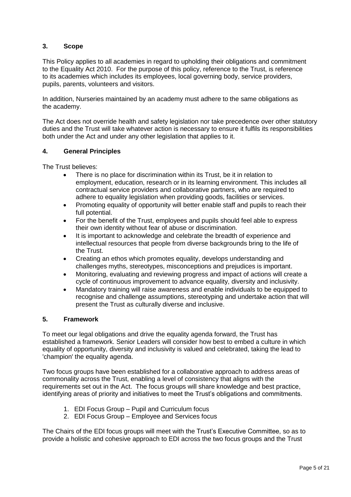# **3. Scope**

This Policy applies to all academies in regard to upholding their obligations and commitment to the Equality Act 2010. For the purpose of this policy, reference to the Trust, is reference to its academies which includes its employees, local governing body, service providers, pupils, parents, volunteers and visitors.

In addition, Nurseries maintained by an academy must adhere to the same obligations as the academy.

The Act does not override health and safety legislation nor take precedence over other statutory duties and the Trust will take whatever action is necessary to ensure it fulfils its responsibilities both under the Act and under any other legislation that applies to it.

## **4. General Principles**

The Trust believes:

- There is no place for discrimination within its Trust, be it in relation to employment, education, research or in its learning environment. This includes all contractual service providers and collaborative partners, who are required to adhere to equality legislation when providing goods, facilities or services.
- Promoting equality of opportunity will better enable staff and pupils to reach their full potential.
- For the benefit of the Trust, employees and pupils should feel able to express their own identity without fear of abuse or discrimination.
- It is important to acknowledge and celebrate the breadth of experience and intellectual resources that people from diverse backgrounds bring to the life of the Trust.
- Creating an ethos which promotes equality, develops understanding and challenges myths, stereotypes, misconceptions and prejudices is important.
- Monitoring, evaluating and reviewing progress and impact of actions will create a cycle of continuous improvement to advance equality, diversity and inclusivity.
- Mandatory training will raise awareness and enable individuals to be equipped to recognise and challenge assumptions, stereotyping and undertake action that will present the Trust as culturally diverse and inclusive.

## **5. Framework**

To meet our legal obligations and drive the equality agenda forward, the Trust has established a framework. Senior Leaders will consider how best to embed a culture in which equality of opportunity, diversity and inclusivity is valued and celebrated, taking the lead to 'champion' the equality agenda.

Two focus groups have been established for a collaborative approach to address areas of commonality across the Trust, enabling a level of consistency that aligns with the requirements set out in the Act. The focus groups will share knowledge and best practice, identifying areas of priority and initiatives to meet the Trust's obligations and commitments.

- 1. EDI Focus Group Pupil and Curriculum focus
- 2. EDI Focus Group Employee and Services focus

The Chairs of the EDI focus groups will meet with the Trust's Executive Committee, so as to provide a holistic and cohesive approach to EDI across the two focus groups and the Trust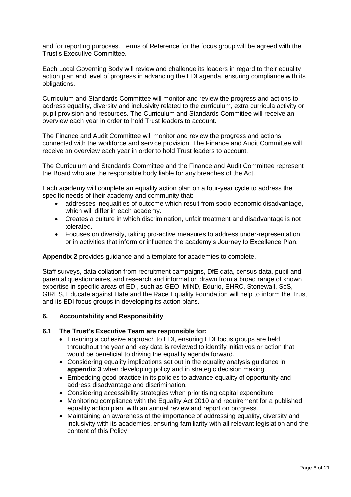and for reporting purposes. Terms of Reference for the focus group will be agreed with the Trust's Executive Committee.

Each Local Governing Body will review and challenge its leaders in regard to their equality action plan and level of progress in advancing the EDI agenda, ensuring compliance with its obligations.

Curriculum and Standards Committee will monitor and review the progress and actions to address equality, diversity and inclusivity related to the curriculum, extra curricula activity or pupil provision and resources. The Curriculum and Standards Committee will receive an overview each year in order to hold Trust leaders to account.

The Finance and Audit Committee will monitor and review the progress and actions connected with the workforce and service provision. The Finance and Audit Committee will receive an overview each year in order to hold Trust leaders to account.

The Curriculum and Standards Committee and the Finance and Audit Committee represent the Board who are the responsible body liable for any breaches of the Act.

Each academy will complete an equality action plan on a four-year cycle to address the specific needs of their academy and community that:

- addresses inequalities of outcome which result from socio-economic disadvantage, which will differ in each academy.
- Creates a culture in which discrimination, unfair treatment and disadvantage is not tolerated.
- Focuses on diversity, taking pro-active measures to address under-representation, or in activities that inform or influence the academy's Journey to Excellence Plan.

**Appendix 2** provides guidance and a template for academies to complete.

Staff surveys, data collation from recruitment campaigns, DfE data, census data, pupil and parental questionnaires, and research and information drawn from a broad range of known expertise in specific areas of EDI, such as GEO, MIND, Edurio, EHRC, Stonewall, SoS, GIRES, Educate against Hate and the Race Equality Foundation will help to inform the Trust and its EDI focus groups in developing its action plans.

## **6. Accountability and Responsibility**

## **6.1 The Trust's Executive Team are responsible for:**

- Ensuring a cohesive approach to EDI, ensuring EDI focus groups are held throughout the year and key data is reviewed to identify initiatives or action that would be beneficial to driving the equality agenda forward.
- Considering equality implications set out in the equality analysis guidance in **appendix 3** when developing policy and in strategic decision making.
- Embedding good practice in its policies to advance equality of opportunity and address disadvantage and discrimination.
- Considering accessibility strategies when prioritising capital expenditure
- Monitoring compliance with the Equality Act 2010 and requirement for a published equality action plan, with an annual review and report on progress.
- Maintaining an awareness of the importance of addressing equality, diversity and inclusivity with its academies, ensuring familiarity with all relevant legislation and the content of this Policy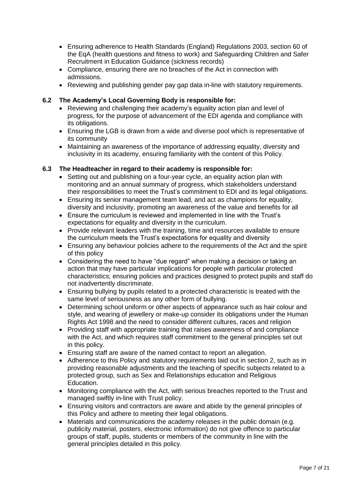- Ensuring adherence to Health Standards (England) Regulations 2003, section 60 of the EqA (health questions and fitness to work) and Safeguarding Children and Safer Recruitment in Education Guidance (sickness records)
- Compliance, ensuring there are no breaches of the Act in connection with admissions.
- Reviewing and publishing gender pay gap data in-line with statutory requirements.

## **6.2 The Academy's Local Governing Body is responsible for:**

- Reviewing and challenging their academy's equality action plan and level of progress, for the purpose of advancement of the EDI agenda and compliance with its obligations.
- Ensuring the LGB is drawn from a wide and diverse pool which is representative of its community
- Maintaining an awareness of the importance of addressing equality, diversity and inclusivity in its academy, ensuring familiarity with the content of this Policy.

## **6.3 The Headteacher in regard to their academy is responsible for:**

- Setting out and publishing on a four-year cycle, an equality action plan with monitoring and an annual summary of progress, which stakeholders understand their responsibilities to meet the Trust's commitment to EDI and its legal obligations.
- Ensuring its senior management team lead, and act as champions for equality, diversity and inclusivity, promoting an awareness of the value and benefits for all
- Ensure the curriculum is reviewed and implemented in line with the Trust's expectations for equality and diversity in the curriculum.
- Provide relevant leaders with the training, time and resources available to ensure the curriculum meets the Trust's expectations for equality and diversity
- Ensuring any behaviour policies adhere to the requirements of the Act and the spirit of this policy
- Considering the need to have "due regard" when making a decision or taking an action that may have particular implications for people with particular protected characteristics; ensuring policies and practices designed to protect pupils and staff do not inadvertently discriminate.
- Ensuring bullying by pupils related to a protected characteristic is treated with the same level of seriousness as any other form of bullying.
- Determining school uniform or other aspects of appearance such as hair colour and style, and wearing of jewellery or make-up consider its obligations under the Human Rights Act 1998 and the need to consider different cultures, races and religion
- Providing staff with appropriate training that raises awareness of and compliance with the Act, and which requires staff commitment to the general principles set out in this policy.
- Ensuring staff are aware of the named contact to report an allegation.
- Adherence to this Policy and statutory requirements laid out in section 2, such as in providing reasonable adjustments and the teaching of specific subjects related to a protected group, such as Sex and Relationships education and Religious Education.
- Monitoring compliance with the Act, with serious breaches reported to the Trust and managed swiftly in-line with Trust policy.
- Ensuring visitors and contractors are aware and abide by the general principles of this Policy and adhere to meeting their legal obligations.
- Materials and communications the academy releases in the public domain (e.g. publicity material, posters, electronic information) do not give offence to particular groups of staff, pupils, students or members of the community in line with the general principles detailed in this policy.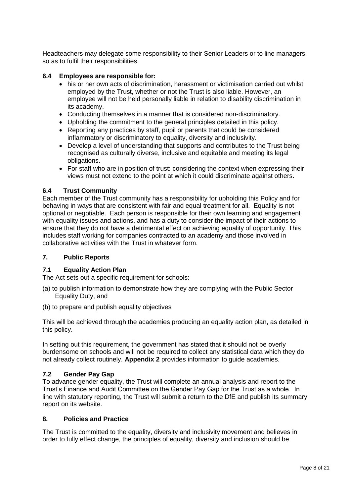Headteachers may delegate some responsibility to their Senior Leaders or to line managers so as to fulfil their responsibilities.

#### **6.4 Employees are responsible for:**

- his or her own acts of discrimination, harassment or victimisation carried out whilst employed by the Trust, whether or not the Trust is also liable. However, an employee will not be held personally liable in relation to disability discrimination in its academy.
- Conducting themselves in a manner that is considered non-discriminatory.
- Upholding the commitment to the general principles detailed in this policy.
- Reporting any practices by staff, pupil or parents that could be considered inflammatory or discriminatory to equality, diversity and inclusivity.
- Develop a level of understanding that supports and contributes to the Trust being recognised as culturally diverse, inclusive and equitable and meeting its legal obligations.
- For staff who are in position of trust: considering the context when expressing their views must not extend to the point at which it could discriminate against others.

## **6.4 Trust Community**

Each member of the Trust community has a responsibility for upholding this Policy and for behaving in ways that are consistent with fair and equal treatment for all. Equality is not optional or negotiable. Each person is responsible for their own learning and engagement with equality issues and actions, and has a duty to consider the impact of their actions to ensure that they do not have a detrimental effect on achieving equality of opportunity. This includes staff working for companies contracted to an academy and those involved in collaborative activities with the Trust in whatever form.

#### **7. Public Reports**

## **7.1 Equality Action Plan**

The Act sets out a specific requirement for schools:

- (a) to publish information to demonstrate how they are complying with the Public Sector Equality Duty, and
- (b) to prepare and publish equality objectives

This will be achieved through the academies producing an equality action plan, as detailed in this policy.

In setting out this requirement, the government has stated that it should not be overly burdensome on schools and will not be required to collect any statistical data which they do not already collect routinely. **Appendix 2** provides information to guide academies.

## **7.2 Gender Pay Gap**

To advance gender equality, the Trust will complete an annual analysis and report to the Trust's Finance and Audit Committee on the Gender Pay Gap for the Trust as a whole. In line with statutory reporting, the Trust will submit a return to the DfE and publish its summary report on its website.

#### **8. Policies and Practice**

The Trust is committed to the equality, diversity and inclusivity movement and believes in order to fully effect change, the principles of equality, diversity and inclusion should be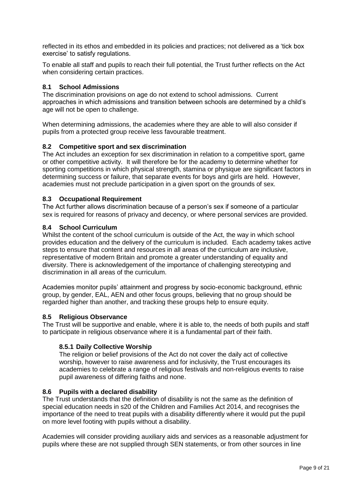reflected in its ethos and embedded in its policies and practices; not delivered as a 'tick box exercise' to satisfy regulations.

To enable all staff and pupils to reach their full potential, the Trust further reflects on the Act when considering certain practices.

## **8.1 School Admissions**

The discrimination provisions on age do not extend to school admissions. Current approaches in which admissions and transition between schools are determined by a child's age will not be open to challenge.

When determining admissions, the academies where they are able to will also consider if pupils from a protected group receive less favourable treatment.

## **8.2 Competitive sport and sex discrimination**

The Act includes an exception for sex discrimination in relation to a competitive sport, game or other competitive activity. It will therefore be for the academy to determine whether for sporting competitions in which physical strength, stamina or physique are significant factors in determining success or failure, that separate events for boys and girls are held. However, academies must not preclude participation in a given sport on the grounds of sex.

## **8.3 Occupational Requirement**

The Act further allows discrimination because of a person's sex if someone of a particular sex is required for reasons of privacy and decency, or where personal services are provided.

## **8.4 School Curriculum**

Whilst the content of the school curriculum is outside of the Act, the way in which school provides education and the delivery of the curriculum is included. Each academy takes active steps to ensure that content and resources in all areas of the curriculum are inclusive, representative of modern Britain and promote a greater understanding of equality and diversity. There is acknowledgement of the importance of challenging stereotyping and discrimination in all areas of the curriculum.

Academies monitor pupils' attainment and progress by socio-economic background, ethnic group, by gender, EAL, AEN and other focus groups, believing that no group should be regarded higher than another, and tracking these groups help to ensure equity.

## **8.5 Religious Observance**

The Trust will be supportive and enable, where it is able to, the needs of both pupils and staff to participate in religious observance where it is a fundamental part of their faith.

## **8.5.1 Daily Collective Worship**

The religion or belief provisions of the Act do not cover the daily act of collective worship, however to raise awareness and for inclusivity, the Trust encourages its academies to celebrate a range of religious festivals and non-religious events to raise pupil awareness of differing faiths and none.

#### **8.6 Pupils with a declared disability**

The Trust understands that the definition of disability is not the same as the definition of special education needs in s20 of the Children and Families Act 2014, and recognises the importance of the need to treat pupils with a disability differently where it would put the pupil on more level footing with pupils without a disability.

Academies will consider providing auxiliary aids and services as a reasonable adjustment for pupils where these are not supplied through SEN statements, or from other sources in line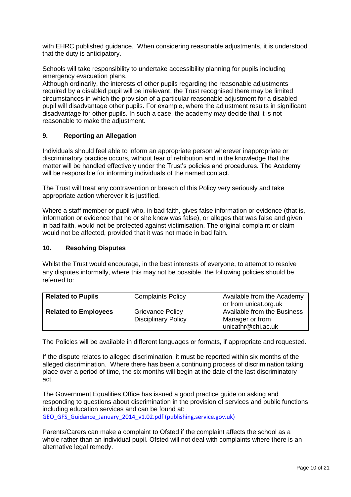with EHRC published guidance. When considering reasonable adjustments, it is understood that the duty is anticipatory.

Schools will take responsibility to undertake accessibility planning for pupils including emergency evacuation plans.

Although ordinarily, the interests of other pupils regarding the reasonable adjustments required by a disabled pupil will be irrelevant, the Trust recognised there may be limited circumstances in which the provision of a particular reasonable adjustment for a disabled pupil will disadvantage other pupils. For example, where the adjustment results in significant disadvantage for other pupils. In such a case, the academy may decide that it is not reasonable to make the adjustment.

## **9. Reporting an Allegation**

Individuals should feel able to inform an appropriate person wherever inappropriate or discriminatory practice occurs, without fear of retribution and in the knowledge that the matter will be handled effectively under the Trust's policies and procedures. The Academy will be responsible for informing individuals of the named contact.

The Trust will treat any contravention or breach of this Policy very seriously and take appropriate action wherever it is justified.

Where a staff member or pupil who, in bad faith, gives false information or evidence (that is, information or evidence that he or she knew was false), or alleges that was false and given in bad faith, would not be protected against victimisation. The original complaint or claim would not be affected, provided that it was not made in bad faith.

#### **10. Resolving Disputes**

Whilst the Trust would encourage, in the best interests of everyone, to attempt to resolve any disputes informally, where this may not be possible, the following policies should be referred to:

| <b>Related to Pupils</b>    | <b>Complaints Policy</b>   | Available from the Academy  |
|-----------------------------|----------------------------|-----------------------------|
|                             |                            | or from unicat.org.uk       |
| <b>Related to Employees</b> | <b>Grievance Policy</b>    | Available from the Business |
|                             | <b>Disciplinary Policy</b> | Manager or from             |
|                             |                            | unicathr@chi.ac.uk          |

The Policies will be available in different languages or formats, if appropriate and requested.

If the dispute relates to alleged discrimination, it must be reported within six months of the alleged discrimination. Where there has been a continuing process of discrimination taking place over a period of time, the six months will begin at the date of the last discriminatory act.

The Government Equalities Office has issued a good practice guide on asking and responding to questions about discrimination in the provision of services and public functions including education services and can be found at: [GEO\\_GFS\\_Guidance\\_January\\_2014\\_v1.02.pdf \(publishing.service.gov.uk\)](https://assets.publishing.service.gov.uk/government/uploads/system/uploads/attachment_data/file/301152/GEO_GFS_Guidance_January_2014_v1.02.pdf)

Parents/Carers can make a complaint to Ofsted if the complaint affects the school as a whole rather than an individual pupil. Ofsted will not deal with complaints where there is an alternative legal remedy.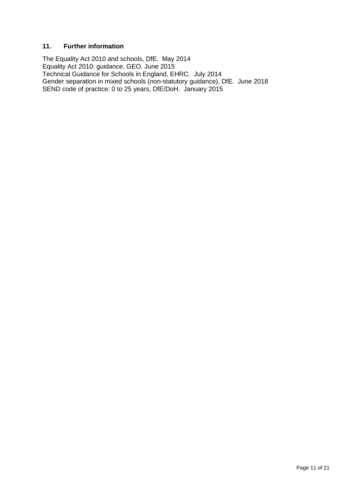## **11. Further information**

The Equality Act 2010 and schools, DfE. May 2014 Equality Act 2010: guidance, GEO, June 2015 Technical Guidance for Schools in England, EHRC. July 2014 Gender separation in mixed schools (non-statutory guidance), DfE. June 2018 SEND code of practice: 0 to 25 years, DfE/DoH. January 2015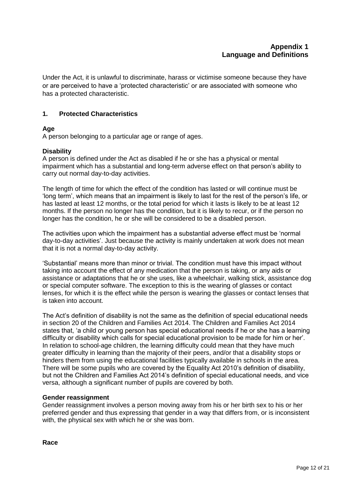Under the Act, it is unlawful to discriminate, harass or victimise someone because they have or are perceived to have a 'protected characteristic' or are associated with someone who has a protected characteristic.

# **1. Protected Characteristics**

## **Age**

A person belonging to a particular age or range of ages.

## **Disability**

A person is defined under the Act as disabled if he or she has a physical or mental impairment which has a substantial and long-term adverse effect on that person's ability to carry out normal day-to-day activities.

The length of time for which the effect of the condition has lasted or will continue must be 'long term', which means that an impairment is likely to last for the rest of the person's life, or has lasted at least 12 months, or the total period for which it lasts is likely to be at least 12 months. If the person no longer has the condition, but it is likely to recur, or if the person no longer has the condition, he or she will be considered to be a disabled person.

The activities upon which the impairment has a substantial adverse effect must be 'normal day-to-day activities'. Just because the activity is mainly undertaken at work does not mean that it is not a normal day-to-day activity.

'Substantial' means more than minor or trivial. The condition must have this impact without taking into account the effect of any medication that the person is taking, or any aids or assistance or adaptations that he or she uses, like a wheelchair, walking stick, assistance dog or special computer software. The exception to this is the wearing of glasses or contact lenses, for which it is the effect while the person is wearing the glasses or contact lenses that is taken into account.

The Act's definition of disability is not the same as the definition of special educational needs in section 20 of the Children and Families Act 2014. The Children and Families Act 2014 states that, 'a child or young person has special educational needs if he or she has a learning difficulty or disability which calls for special educational provision to be made for him or her'. In relation to school-age children, the learning difficulty could mean that they have much greater difficulty in learning than the majority of their peers, and/or that a disability stops or hinders them from using the educational facilities typically available in schools in the area. There will be some pupils who are covered by the Equality Act 2010's definition of disability, but not the Children and Families Act 2014's definition of special educational needs, and vice versa, although a significant number of pupils are covered by both.

## **Gender reassignment**

Gender reassignment involves a person moving away from his or her birth sex to his or her preferred gender and thus expressing that gender in a way that differs from, or is inconsistent with, the physical sex with which he or she was born.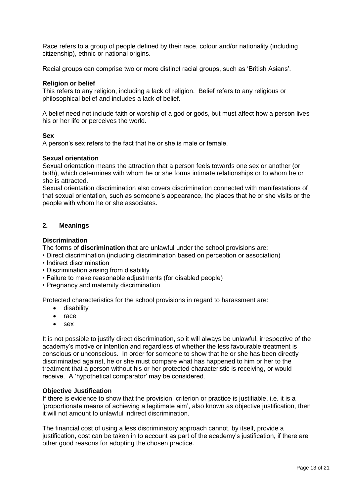Race refers to a group of people defined by their race, colour and/or nationality (including citizenship), ethnic or national origins.

Racial groups can comprise two or more distinct racial groups, such as 'British Asians'.

#### **Religion or belief**

This refers to any religion, including a lack of religion. Belief refers to any religious or philosophical belief and includes a lack of belief.

A belief need not include faith or worship of a god or gods, but must affect how a person lives his or her life or perceives the world.

#### **Sex**

A person's sex refers to the fact that he or she is male or female.

#### **Sexual orientation**

Sexual orientation means the attraction that a person feels towards one sex or another (or both), which determines with whom he or she forms intimate relationships or to whom he or she is attracted.

Sexual orientation discrimination also covers discrimination connected with manifestations of that sexual orientation, such as someone's appearance, the places that he or she visits or the people with whom he or she associates.

#### **2. Meanings**

#### **Discrimination**

The forms of **discrimination** that are unlawful under the school provisions are:

- Direct discrimination (including discrimination based on perception or association)
- Indirect discrimination
- Discrimination arising from disability
- Failure to make reasonable adjustments (for disabled people)
- Pregnancy and maternity discrimination

Protected characteristics for the school provisions in regard to harassment are:

- **•** disability
- race
- sex

It is not possible to justify direct discrimination, so it will always be unlawful, irrespective of the academy's motive or intention and regardless of whether the less favourable treatment is conscious or unconscious. In order for someone to show that he or she has been directly discriminated against, he or she must compare what has happened to him or her to the treatment that a person without his or her protected characteristic is receiving, or would receive. A 'hypothetical comparator' may be considered.

#### **Objective Justification**

If there is evidence to show that the provision, criterion or practice is justifiable, i.e. it is a 'proportionate means of achieving a legitimate aim', also known as objective justification, then it will not amount to unlawful indirect discrimination.

The financial cost of using a less discriminatory approach cannot, by itself, provide a justification, cost can be taken in to account as part of the academy's justification, if there are other good reasons for adopting the chosen practice.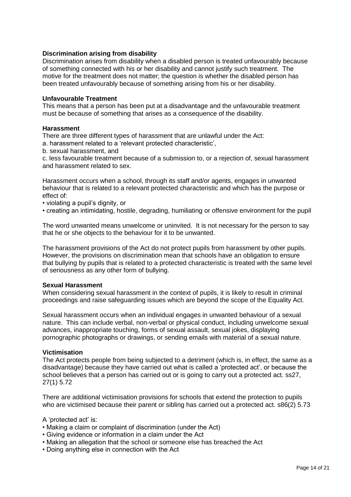#### **Discrimination arising from disability**

Discrimination arises from disability when a disabled person is treated unfavourably because of something connected with his or her disability and cannot justify such treatment. The motive for the treatment does not matter; the question is whether the disabled person has been treated unfavourably because of something arising from his or her disability.

#### **Unfavourable Treatment**

This means that a person has been put at a disadvantage and the unfavourable treatment must be because of something that arises as a consequence of the disability.

#### **Harassment**

There are three different types of harassment that are unlawful under the Act:

a. harassment related to a 'relevant protected characteristic',

b. sexual harassment, and

c. less favourable treatment because of a submission to, or a rejection of, sexual harassment and harassment related to sex.

Harassment occurs when a school, through its staff and/or agents, engages in unwanted behaviour that is related to a relevant protected characteristic and which has the purpose or effect of:

• violating a pupil's dignity, or

• creating an intimidating, hostile, degrading, humiliating or offensive environment for the pupil

The word unwanted means unwelcome or uninvited. It is not necessary for the person to say that he or she objects to the behaviour for it to be unwanted.

The harassment provisions of the Act do not protect pupils from harassment by other pupils. However, the provisions on discrimination mean that schools have an obligation to ensure that bullying by pupils that is related to a protected characteristic is treated with the same level of seriousness as any other form of bullying.

#### **Sexual Harassment**

When considering sexual harassment in the context of pupils, it is likely to result in criminal proceedings and raise safeguarding issues which are beyond the scope of the Equality Act.

Sexual harassment occurs when an individual engages in unwanted behaviour of a sexual nature. This can include verbal, non-verbal or physical conduct, including unwelcome sexual advances, inappropriate touching, forms of sexual assault, sexual jokes, displaying pornographic photographs or drawings, or sending emails with material of a sexual nature.

#### **Victimisation**

The Act protects people from being subjected to a detriment (which is, in effect, the same as a disadvantage) because they have carried out what is called a 'protected act', or because the school believes that a person has carried out or is going to carry out a protected act. ss27, 27(1) 5.72

There are additional victimisation provisions for schools that extend the protection to pupils who are victimised because their parent or sibling has carried out a protected act. s86(2) 5.73

#### A 'protected act' is:

- Making a claim or complaint of discrimination (under the Act)
- Giving evidence or information in a claim under the Act
- Making an allegation that the school or someone else has breached the Act
- Doing anything else in connection with the Act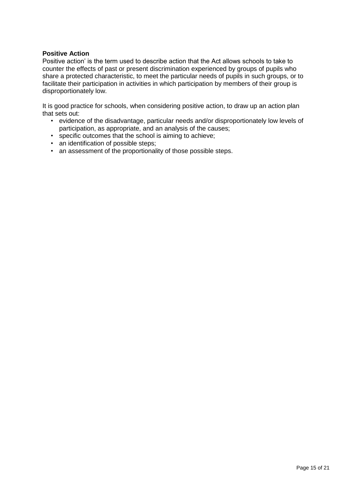## **Positive Action**

Positive action' is the term used to describe action that the Act allows schools to take to counter the effects of past or present discrimination experienced by groups of pupils who share a protected characteristic, to meet the particular needs of pupils in such groups, or to facilitate their participation in activities in which participation by members of their group is disproportionately low.

It is good practice for schools, when considering positive action, to draw up an action plan that sets out:

- evidence of the disadvantage, particular needs and/or disproportionately low levels of participation, as appropriate, and an analysis of the causes;
- specific outcomes that the school is aiming to achieve;
- an identification of possible steps;
- an assessment of the proportionality of those possible steps.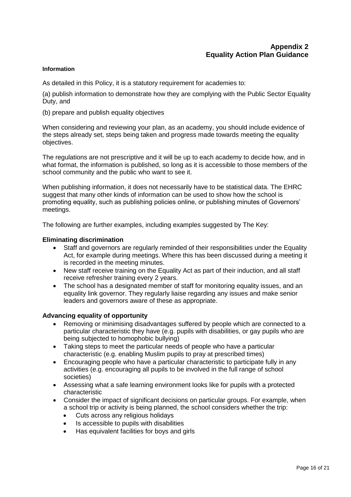#### **Information**

As detailed in this Policy, it is a statutory requirement for academies to:

(a) publish information to demonstrate how they are complying with the Public Sector Equality Duty, and

(b) prepare and publish equality objectives

When considering and reviewing your plan, as an academy, you should include evidence of the steps already set, steps being taken and progress made towards meeting the equality objectives.

The regulations are not prescriptive and it will be up to each academy to decide how, and in what format, the information is published, so long as it is accessible to those members of the school community and the public who want to see it.

When publishing information, it does not necessarily have to be statistical data. The EHRC suggest that many other kinds of information can be used to show how the school is promoting equality, such as publishing policies online, or publishing minutes of Governors' meetings.

The following are further examples, including examples suggested by The Key:

#### **Eliminating discrimination**

- Staff and governors are regularly reminded of their responsibilities under the Equality Act, for example during meetings. Where this has been discussed during a meeting it is recorded in the meeting minutes.
- New staff receive training on the Equality Act as part of their induction, and all staff receive refresher training every 2 years.
- The school has a designated member of staff for monitoring equality issues, and an equality link governor. They regularly liaise regarding any issues and make senior leaders and governors aware of these as appropriate.

#### **Advancing equality of opportunity**

- Removing or minimising disadvantages suffered by people which are connected to a particular characteristic they have (e.g. pupils with disabilities, or gay pupils who are being subjected to homophobic bullying)
- Taking steps to meet the particular needs of people who have a particular characteristic (e.g. enabling Muslim pupils to pray at prescribed times)
- Encouraging people who have a particular characteristic to participate fully in any activities (e.g. encouraging all pupils to be involved in the full range of school societies)
- Assessing what a safe learning environment looks like for pupils with a protected characteristic
- Consider the impact of significant decisions on particular groups. For example, when a school trip or activity is being planned, the school considers whether the trip:
	- Cuts across any religious holidays
	- Is accessible to pupils with disabilities
	- Has equivalent facilities for boys and girls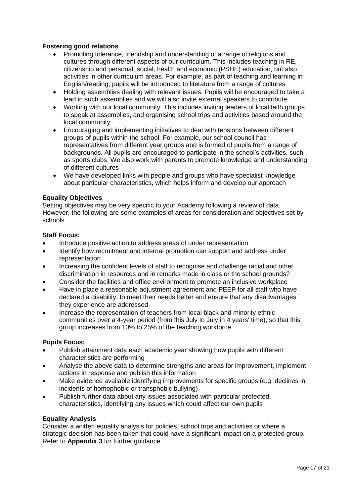# **Fostering good relations**

- Promoting tolerance, friendship and understanding of a range of religions and cultures through different aspects of our curriculum. This includes teaching in RE, citizenship and personal, social, health and economic (PSHE) education, but also activities in other curriculum areas. For example, as part of teaching and learning in English/reading, pupils will be introduced to literature from a range of cultures
- Holding assemblies dealing with relevant issues. Pupils will be encouraged to take a lead in such assemblies and we will also invite external speakers to contribute
- Working with our local community. This includes inviting leaders of local faith groups to speak at assemblies, and organising school trips and activities based around the local community
- Encouraging and implementing initiatives to deal with tensions between different groups of pupils within the school. For example, our school council has representatives from different year groups and is formed of pupils from a range of backgrounds. All pupils are encouraged to participate in the school's activities, such as sports clubs. We also work with parents to promote knowledge and understanding of different cultures
- We have developed links with people and groups who have specialist knowledge about particular characteristics, which helps inform and develop our approach

## **Equality Objectives**

Setting objectives may be very specific to your Academy following a review of data. However, the following are some examples of areas for consideration and objectives set by schools

#### **Staff Focus:**

- Introduce positive action to address areas of under representation
- Identify how recruitment and internal promotion can support and address under representation
- Increasing the confident levels of staff to recognise and challenge racial and other discrimination in resources and in remarks made in class or the school grounds?
- Consider the facilities and office environment to promote an inclusive workplace
- Have in place a reasonable adjustment agreement and PEEP for all staff who have declared a disability, to meet their needs better and ensure that any disadvantages they experience are addressed.
- Increase the representation of teachers from local black and minority ethnic communities over a 4-year period (from this July to July in 4 years' time), so that this group increases from 10% to 25% of the teaching workforce.

#### **Pupils Focus:**

- Publish attainment data each academic year showing how pupils with different characteristics are performing
- Analyse the above data to determine strengths and areas for improvement, implement actions in response and publish this information
- Make evidence available identifying improvements for specific groups (e.g. declines in incidents of homophobic or transphobic bullying)
- Publish further data about any issues associated with particular protected characteristics, identifying any issues which could affect our own pupils

## **Equality Analysis**

Consider a written equality analysis for policies, school trips and activities or where a strategic decision has been taken that could have a significant impact on a protected group. Refer to **Appendix 3** for further guidance.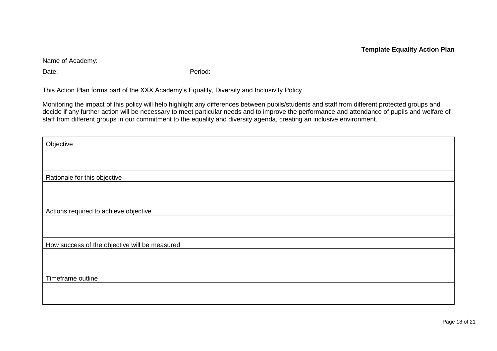Name of Academy:

Date: expression of the contract of the period:

This Action Plan forms part of the XXX Academy's Equality, Diversity and Inclusivity Policy.

Monitoring the impact of this policy will help highlight any differences between pupils/students and staff from different protected groups and decide if any further action will be necessary to meet particular needs and to improve the performance and attendance of pupils and welfare of staff from different groups in our commitment to the equality and diversity agenda, creating an inclusive environment.

| Objective                                     |  |
|-----------------------------------------------|--|
|                                               |  |
|                                               |  |
| Rationale for this objective                  |  |
|                                               |  |
|                                               |  |
| Actions required to achieve objective         |  |
|                                               |  |
|                                               |  |
| How success of the objective will be measured |  |
|                                               |  |
|                                               |  |
| Timeframe outline                             |  |
|                                               |  |
|                                               |  |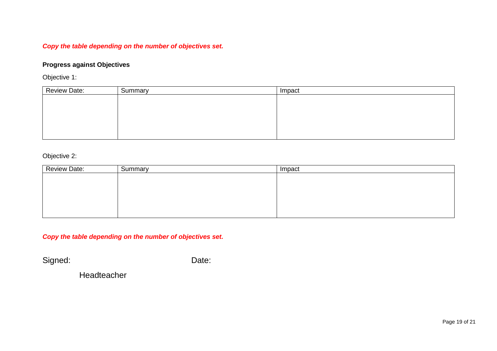# *Copy the table depending on the number of objectives set.*

# **Progress against Objectives**

Objective 1:

| <b>Review Date:</b> | Summary | Impact |
|---------------------|---------|--------|
|                     |         |        |
|                     |         |        |
|                     |         |        |
|                     |         |        |
|                     |         |        |

Objective 2:

| <b>Review Date:</b> | Summary | Impact |
|---------------------|---------|--------|
|                     |         |        |
|                     |         |        |
|                     |         |        |
|                     |         |        |
|                     |         |        |
|                     |         |        |

*Copy the table depending on the number of objectives set.*

Signed: Date:

Headteacher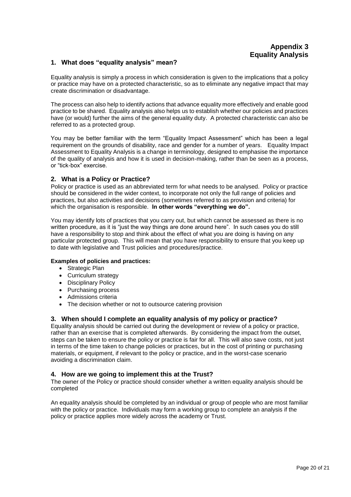#### **1. What does "equality analysis" mean?**

Equality analysis is simply a process in which consideration is given to the implications that a policy or practice may have on a protected characteristic, so as to eliminate any negative impact that may create discrimination or disadvantage.

The process can also help to identify actions that advance equality more effectively and enable good practice to be shared. Equality analysis also helps us to establish whether our policies and practices have (or would) further the aims of the general equality duty. A protected characteristic can also be referred to as a protected group.

You may be better familiar with the term "Equality Impact Assessment" which has been a legal requirement on the grounds of disability, race and gender for a number of years. Equality Impact Assessment to Equality Analysis is a change in terminology, designed to emphasise the importance of the quality of analysis and how it is used in decision-making, rather than be seen as a process, or "tick-box" exercise.

#### **2. What is a Policy or Practice?**

Policy or practice is used as an abbreviated term for what needs to be analysed. Policy or practice should be considered in the wider context, to incorporate not only the full range of policies and practices, but also activities and decisions (sometimes referred to as provision and criteria) for which the organisation is responsible. **In other words "everything we do".**

You may identify lots of practices that you carry out, but which cannot be assessed as there is no written procedure, as it is "just the way things are done around here". In such cases you do still have a responsibility to stop and think about the effect of what you are doing is having on any particular protected group. This will mean that you have responsibility to ensure that you keep up to date with legislative and Trust policies and procedures/practice.

#### **Examples of policies and practices:**

- Strategic Plan
- Curriculum strategy
- Disciplinary Policy
- Purchasing process
- Admissions criteria
- The decision whether or not to outsource catering provision

#### **3. When should I complete an equality analysis of my policy or practice?**

Equality analysis should be carried out during the development or review of a policy or practice, rather than an exercise that is completed afterwards. By considering the impact from the outset, steps can be taken to ensure the policy or practice is fair for all. This will also save costs, not just in terms of the time taken to change policies or practices, but in the cost of printing or purchasing materials, or equipment, if relevant to the policy or practice, and in the worst-case scenario avoiding a discrimination claim.

#### **4. How are we going to implement this at the Trust?**

The owner of the Policy or practice should consider whether a written equality analysis should be completed

An equality analysis should be completed by an individual or group of people who are most familiar with the policy or practice. Individuals may form a working group to complete an analysis if the policy or practice applies more widely across the academy or Trust.